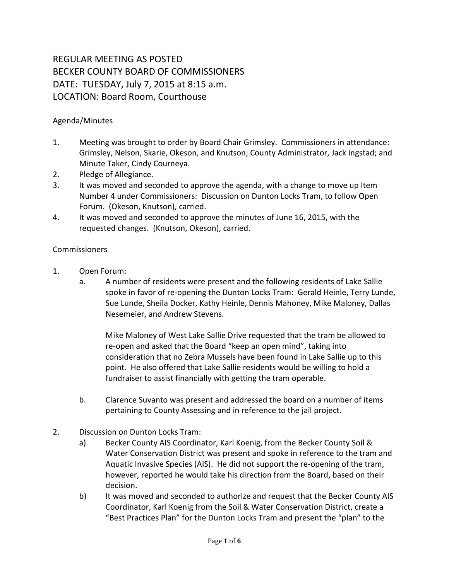## REGULAR MEETING AS POSTED BECKER COUNTY BOARD OF COMMISSIONERS DATE: TUESDAY, July 7, 2015 at 8:15 a.m. LOCATION: Board Room, Courthouse

## Agenda/Minutes

- 1. Meeting was brought to order by Board Chair Grimsley. Commissioners in attendance: Grimsley, Nelson, Skarie, Okeson, and Knutson; County Administrator, Jack Ingstad; and Minute Taker, Cindy Courneya.
- 2. Pledge of Allegiance.
- 3. It was moved and seconded to approve the agenda, with a change to move up Item Number 4 under Commissioners: Discussion on Dunton Locks Tram, to follow Open Forum. (Okeson, Knutson), carried.
- 4. It was moved and seconded to approve the minutes of June 16, 2015, with the requested changes. (Knutson, Okeson), carried.

## **Commissioners**

- 1. Open Forum:
	- a. A number of residents were present and the following residents of Lake Sallie spoke in favor of re-opening the Dunton Locks Tram: Gerald Heinle, Terry Lunde, Sue Lunde, Sheila Docker, Kathy Heinle, Dennis Mahoney, Mike Maloney, Dallas Nesemeier, and Andrew Stevens.

Mike Maloney of West Lake Sallie Drive requested that the tram be allowed to re-open and asked that the Board "keep an open mind", taking into consideration that no Zebra Mussels have been found in Lake Sallie up to this point. He also offered that Lake Sallie residents would be willing to hold a fundraiser to assist financially with getting the tram operable.

- b. Clarence Suvanto was present and addressed the board on a number of items pertaining to County Assessing and in reference to the jail project.
- 2. Discussion on Dunton Locks Tram:
	- a) Becker County AIS Coordinator, Karl Koenig, from the Becker County Soil & Water Conservation District was present and spoke in reference to the tram and Aquatic Invasive Species (AIS). He did not support the re-opening of the tram, however, reported he would take his direction from the Board, based on their decision.
	- b) It was moved and seconded to authorize and request that the Becker County AIS Coordinator, Karl Koenig from the Soil & Water Conservation District, create a "Best Practices Plan" for the Dunton Locks Tram and present the "plan" to the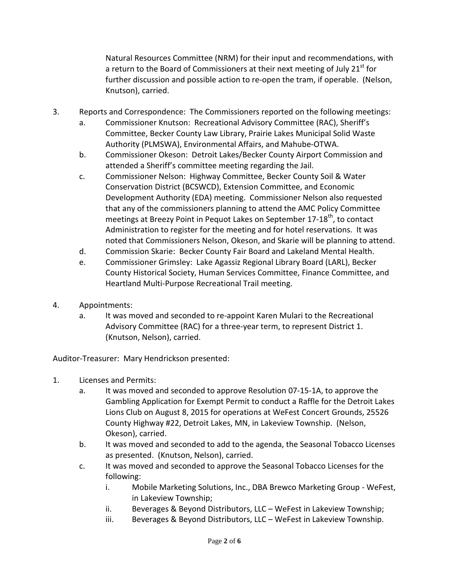Natural Resources Committee (NRM) for their input and recommendations, with a return to the Board of Commissioners at their next meeting of July 21<sup>st</sup> for further discussion and possible action to re-open the tram, if operable. (Nelson, Knutson), carried.

- 3. Reports and Correspondence: The Commissioners reported on the following meetings:
	- a. Commissioner Knutson: Recreational Advisory Committee (RAC), Sheriff's Committee, Becker County Law Library, Prairie Lakes Municipal Solid Waste Authority (PLMSWA), Environmental Affairs, and Mahube-OTWA.
	- b. Commissioner Okeson: Detroit Lakes/Becker County Airport Commission and attended a Sheriff's committee meeting regarding the Jail.
	- c. Commissioner Nelson: Highway Committee, Becker County Soil & Water Conservation District (BCSWCD), Extension Committee, and Economic Development Authority (EDA) meeting. Commissioner Nelson also requested that any of the commissioners planning to attend the AMC Policy Committee meetings at Breezy Point in Pequot Lakes on September 17-18<sup>th</sup>, to contact Administration to register for the meeting and for hotel reservations. It was noted that Commissioners Nelson, Okeson, and Skarie will be planning to attend.
	- d. Commission Skarie: Becker County Fair Board and Lakeland Mental Health.
	- e. Commissioner Grimsley: Lake Agassiz Regional Library Board (LARL), Becker County Historical Society, Human Services Committee, Finance Committee, and Heartland Multi-Purpose Recreational Trail meeting.
- 4. Appointments:
	- a. It was moved and seconded to re-appoint Karen Mulari to the Recreational Advisory Committee (RAC) for a three-year term, to represent District 1. (Knutson, Nelson), carried.

Auditor-Treasurer: Mary Hendrickson presented:

- 1. Licenses and Permits:
	- a. It was moved and seconded to approve Resolution 07-15-1A, to approve the Gambling Application for Exempt Permit to conduct a Raffle for the Detroit Lakes Lions Club on August 8, 2015 for operations at WeFest Concert Grounds, 25526 County Highway #22, Detroit Lakes, MN, in Lakeview Township. (Nelson, Okeson), carried.
	- b. It was moved and seconded to add to the agenda, the Seasonal Tobacco Licenses as presented. (Knutson, Nelson), carried.
	- c. It was moved and seconded to approve the Seasonal Tobacco Licenses for the following:
		- i. Mobile Marketing Solutions, Inc., DBA Brewco Marketing Group WeFest, in Lakeview Township;
		- ii. Beverages & Beyond Distributors, LLC WeFest in Lakeview Township;
		- iii. Beverages & Beyond Distributors, LLC WeFest in Lakeview Township.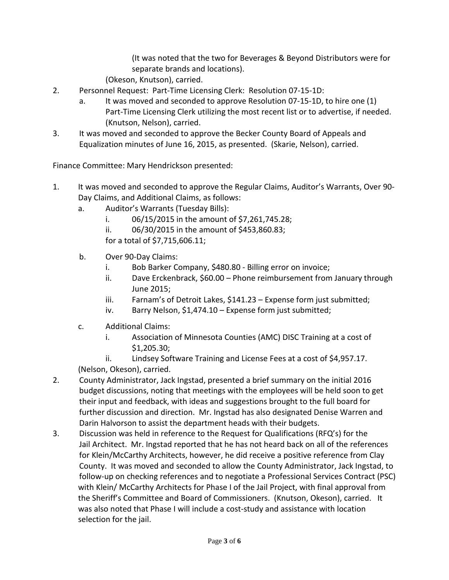(It was noted that the two for Beverages & Beyond Distributors were for separate brands and locations).

(Okeson, Knutson), carried.

- 2. Personnel Request: Part-Time Licensing Clerk: Resolution 07-15-1D:
	- a. It was moved and seconded to approve Resolution 07-15-1D, to hire one (1) Part-Time Licensing Clerk utilizing the most recent list or to advertise, if needed. (Knutson, Nelson), carried.
- 3. It was moved and seconded to approve the Becker County Board of Appeals and Equalization minutes of June 16, 2015, as presented. (Skarie, Nelson), carried.

Finance Committee: Mary Hendrickson presented:

- 1. It was moved and seconded to approve the Regular Claims, Auditor's Warrants, Over 90- Day Claims, and Additional Claims, as follows:
	- a. Auditor's Warrants (Tuesday Bills):
		- i. 06/15/2015 in the amount of \$7,261,745.28;
		- ii. 06/30/2015 in the amount of \$453,860.83;
		- for a total of \$7,715,606.11;
	- b. Over 90-Day Claims:
		- i. Bob Barker Company, \$480.80 Billing error on invoice;
		- ii. Dave Erckenbrack, \$60.00 Phone reimbursement from January through June 2015;
		- iii. Farnam's of Detroit Lakes, \$141.23 Expense form just submitted;
		- iv. Barry Nelson, \$1,474.10 Expense form just submitted;
	- c. Additional Claims:
		- i. Association of Minnesota Counties (AMC) DISC Training at a cost of \$1,205.30;
	- ii. Lindsey Software Training and License Fees at a cost of \$4,957.17. (Nelson, Okeson), carried.
- 2. County Administrator, Jack Ingstad, presented a brief summary on the initial 2016 budget discussions, noting that meetings with the employees will be held soon to get their input and feedback, with ideas and suggestions brought to the full board for further discussion and direction. Mr. Ingstad has also designated Denise Warren and Darin Halvorson to assist the department heads with their budgets.
- 3. Discussion was held in reference to the Request for Qualifications (RFQ's) for the Jail Architect. Mr. Ingstad reported that he has not heard back on all of the references for Klein/McCarthy Architects, however, he did receive a positive reference from Clay County. It was moved and seconded to allow the County Administrator, Jack Ingstad, to follow-up on checking references and to negotiate a Professional Services Contract (PSC) with Klein/ McCarthy Architects for Phase I of the Jail Project, with final approval from the Sheriff's Committee and Board of Commissioners. (Knutson, Okeson), carried. It was also noted that Phase I will include a cost-study and assistance with location selection for the jail.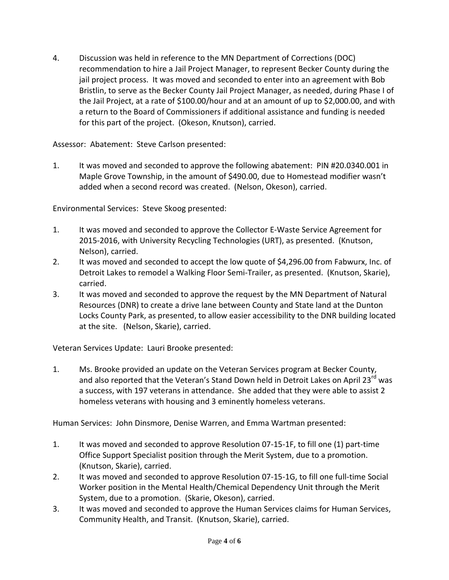4. Discussion was held in reference to the MN Department of Corrections (DOC) recommendation to hire a Jail Project Manager, to represent Becker County during the jail project process. It was moved and seconded to enter into an agreement with Bob Bristlin, to serve as the Becker County Jail Project Manager, as needed, during Phase I of the Jail Project, at a rate of \$100.00/hour and at an amount of up to \$2,000.00, and with a return to the Board of Commissioners if additional assistance and funding is needed for this part of the project. (Okeson, Knutson), carried.

## Assessor: Abatement: Steve Carlson presented:

1. It was moved and seconded to approve the following abatement: PIN #20.0340.001 in Maple Grove Township, in the amount of \$490.00, due to Homestead modifier wasn't added when a second record was created. (Nelson, Okeson), carried.

Environmental Services: Steve Skoog presented:

- 1. It was moved and seconded to approve the Collector E-Waste Service Agreement for 2015-2016, with University Recycling Technologies (URT), as presented. (Knutson, Nelson), carried.
- 2. It was moved and seconded to accept the low quote of \$4,296.00 from Fabwurx, Inc. of Detroit Lakes to remodel a Walking Floor Semi-Trailer, as presented. (Knutson, Skarie), carried.
- 3. It was moved and seconded to approve the request by the MN Department of Natural Resources (DNR) to create a drive lane between County and State land at the Dunton Locks County Park, as presented, to allow easier accessibility to the DNR building located at the site. (Nelson, Skarie), carried.

Veteran Services Update: Lauri Brooke presented:

1. Ms. Brooke provided an update on the Veteran Services program at Becker County, and also reported that the Veteran's Stand Down held in Detroit Lakes on April 23<sup>rd</sup> was a success, with 197 veterans in attendance. She added that they were able to assist 2 homeless veterans with housing and 3 eminently homeless veterans.

Human Services: John Dinsmore, Denise Warren, and Emma Wartman presented:

- 1. It was moved and seconded to approve Resolution 07-15-1F, to fill one (1) part-time Office Support Specialist position through the Merit System, due to a promotion. (Knutson, Skarie), carried.
- 2. It was moved and seconded to approve Resolution 07-15-1G, to fill one full-time Social Worker position in the Mental Health/Chemical Dependency Unit through the Merit System, due to a promotion. (Skarie, Okeson), carried.
- 3. It was moved and seconded to approve the Human Services claims for Human Services, Community Health, and Transit. (Knutson, Skarie), carried.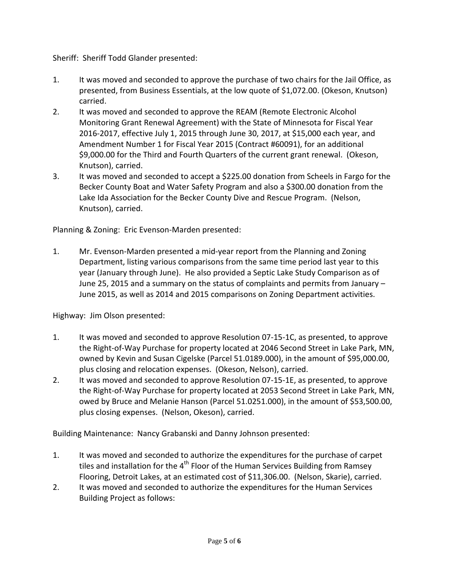Sheriff: Sheriff Todd Glander presented:

- 1. It was moved and seconded to approve the purchase of two chairs for the Jail Office, as presented, from Business Essentials, at the low quote of \$1,072.00. (Okeson, Knutson) carried.
- 2. It was moved and seconded to approve the REAM (Remote Electronic Alcohol Monitoring Grant Renewal Agreement) with the State of Minnesota for Fiscal Year 2016-2017, effective July 1, 2015 through June 30, 2017, at \$15,000 each year, and Amendment Number 1 for Fiscal Year 2015 (Contract #60091), for an additional \$9,000.00 for the Third and Fourth Quarters of the current grant renewal. (Okeson, Knutson), carried.
- 3. It was moved and seconded to accept a \$225.00 donation from Scheels in Fargo for the Becker County Boat and Water Safety Program and also a \$300.00 donation from the Lake Ida Association for the Becker County Dive and Rescue Program. (Nelson, Knutson), carried.

Planning & Zoning: Eric Evenson-Marden presented:

1. Mr. Evenson-Marden presented a mid-year report from the Planning and Zoning Department, listing various comparisons from the same time period last year to this year (January through June). He also provided a Septic Lake Study Comparison as of June 25, 2015 and a summary on the status of complaints and permits from January – June 2015, as well as 2014 and 2015 comparisons on Zoning Department activities.

Highway: Jim Olson presented:

- 1. It was moved and seconded to approve Resolution 07-15-1C, as presented, to approve the Right-of-Way Purchase for property located at 2046 Second Street in Lake Park, MN, owned by Kevin and Susan Cigelske (Parcel 51.0189.000), in the amount of \$95,000.00, plus closing and relocation expenses. (Okeson, Nelson), carried.
- 2. It was moved and seconded to approve Resolution 07-15-1E, as presented, to approve the Right-of-Way Purchase for property located at 2053 Second Street in Lake Park, MN, owed by Bruce and Melanie Hanson (Parcel 51.0251.000), in the amount of \$53,500.00, plus closing expenses. (Nelson, Okeson), carried.

Building Maintenance: Nancy Grabanski and Danny Johnson presented:

- 1. It was moved and seconded to authorize the expenditures for the purchase of carpet tiles and installation for the 4<sup>th</sup> Floor of the Human Services Building from Ramsey Flooring, Detroit Lakes, at an estimated cost of \$11,306.00. (Nelson, Skarie), carried.
- 2. It was moved and seconded to authorize the expenditures for the Human Services Building Project as follows: